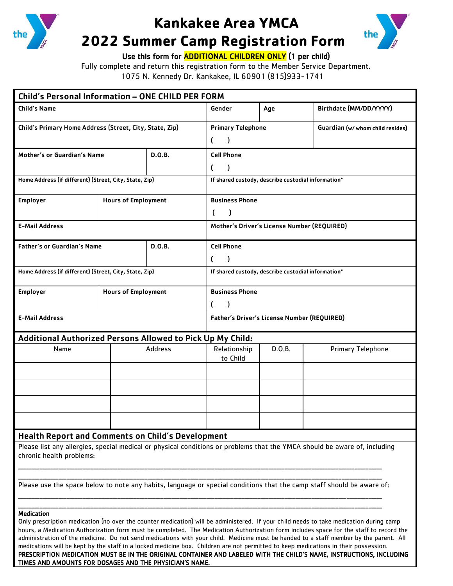

## **Kankakee Area YMCA**



## **2022 Summer Camp Registration Form**

Use this form for **ADDITIONAL CHILDREN ONLY** (1 per child)

Fully complete and return this registration form to the Member Service Department.

1075 N. Kennedy Dr. Kankakee, IL 60901 (815)933-1741

| Child's Personal Information - ONE CHILD PER FORM                                                                                                                                                                                                                                                     |                            |                |                                                    |        |                                  |  |  |  |  |
|-------------------------------------------------------------------------------------------------------------------------------------------------------------------------------------------------------------------------------------------------------------------------------------------------------|----------------------------|----------------|----------------------------------------------------|--------|----------------------------------|--|--|--|--|
| <b>Child's Name</b>                                                                                                                                                                                                                                                                                   |                            |                | Gender                                             | Age    | Birthdate (MM/DD/YYYY)           |  |  |  |  |
| Child's Primary Home Address (Street, City, State, Zip)                                                                                                                                                                                                                                               |                            |                | <b>Primary Telephone</b>                           |        | Guardian (w/ whom child resides) |  |  |  |  |
|                                                                                                                                                                                                                                                                                                       |                            |                | -1<br><sup>f</sup>                                 |        |                                  |  |  |  |  |
| Mother's or Guardian's Name<br>D.O.B.                                                                                                                                                                                                                                                                 |                            |                | <b>Cell Phone</b>                                  |        |                                  |  |  |  |  |
|                                                                                                                                                                                                                                                                                                       |                            |                | C<br>$\mathbf{I}$                                  |        |                                  |  |  |  |  |
| Home Address (if different) (Street, City, State, Zip)                                                                                                                                                                                                                                                |                            |                | If shared custody, describe custodial information* |        |                                  |  |  |  |  |
| Employer<br><b>Hours of Employment</b>                                                                                                                                                                                                                                                                |                            |                | <b>Business Phone</b>                              |        |                                  |  |  |  |  |
|                                                                                                                                                                                                                                                                                                       |                            |                | $\mathfrak{c}$<br>$\mathbf{I}$                     |        |                                  |  |  |  |  |
| <b>E-Mail Address</b>                                                                                                                                                                                                                                                                                 |                            |                | Mother's Driver's License Number (REQUIRED)        |        |                                  |  |  |  |  |
| <b>Father's or Guardian's Name</b><br><b>D.O.B.</b>                                                                                                                                                                                                                                                   |                            |                | <b>Cell Phone</b>                                  |        |                                  |  |  |  |  |
|                                                                                                                                                                                                                                                                                                       |                            |                | <sup>r</sup><br>$\mathbf{I}$                       |        |                                  |  |  |  |  |
| Home Address (if different) (Street, City, State, Zip)                                                                                                                                                                                                                                                |                            |                | If shared custody, describe custodial information* |        |                                  |  |  |  |  |
| <b>Employer</b>                                                                                                                                                                                                                                                                                       | <b>Hours of Employment</b> |                | <b>Business Phone</b>                              |        |                                  |  |  |  |  |
|                                                                                                                                                                                                                                                                                                       |                            |                | $\mathfrak{c}$<br>$\mathbf{I}$                     |        |                                  |  |  |  |  |
| <b>E-Mail Address</b>                                                                                                                                                                                                                                                                                 |                            |                | Father's Driver's License Number (REQUIRED)        |        |                                  |  |  |  |  |
| <b>Additional Authorized Persons Allowed to Pick Up My Child:</b>                                                                                                                                                                                                                                     |                            |                |                                                    |        |                                  |  |  |  |  |
| Name                                                                                                                                                                                                                                                                                                  |                            | <b>Address</b> | Relationship<br>to Child                           | D.O.B. | Primary Telephone                |  |  |  |  |
|                                                                                                                                                                                                                                                                                                       |                            |                |                                                    |        |                                  |  |  |  |  |
|                                                                                                                                                                                                                                                                                                       |                            |                |                                                    |        |                                  |  |  |  |  |
|                                                                                                                                                                                                                                                                                                       |                            |                |                                                    |        |                                  |  |  |  |  |
|                                                                                                                                                                                                                                                                                                       |                            |                |                                                    |        |                                  |  |  |  |  |
| <b>Health Report and Comments on Child's Development</b>                                                                                                                                                                                                                                              |                            |                |                                                    |        |                                  |  |  |  |  |
| Please list any allergies, special medical or physical conditions or problems that the YMCA should be aware of, including<br>chronic health problems:                                                                                                                                                 |                            |                |                                                    |        |                                  |  |  |  |  |
| Please use the space below to note any habits, language or special conditions that the camp staff should be aware of:                                                                                                                                                                                 |                            |                |                                                    |        |                                  |  |  |  |  |
| <b>Medication</b><br>Only prescription medication (no over the counter medication) will be administered. If your child needs to take medication during camp<br>hours, a Medication Authorization form must be completed. The Medication Authorization form includes space for the staff to record the |                            |                |                                                    |        |                                  |  |  |  |  |

administration of the medicine. Do not send medications with your child. Medicine must be handed to a staff member by the parent. All medications will be kept by the staff in a locked medicine box. Children are not permitted to keep medications in their possession. PRESCRIPTION MEDICATION MUST BE IN THE ORIGINAL CONTAINER AND LABELED WITH THE CHILD'S NAME, INSTRUCTIONS, INCLUDING TIMES AND AMOUNTS FOR DOSAGES AND THE PHYSICIAN'S NAME.